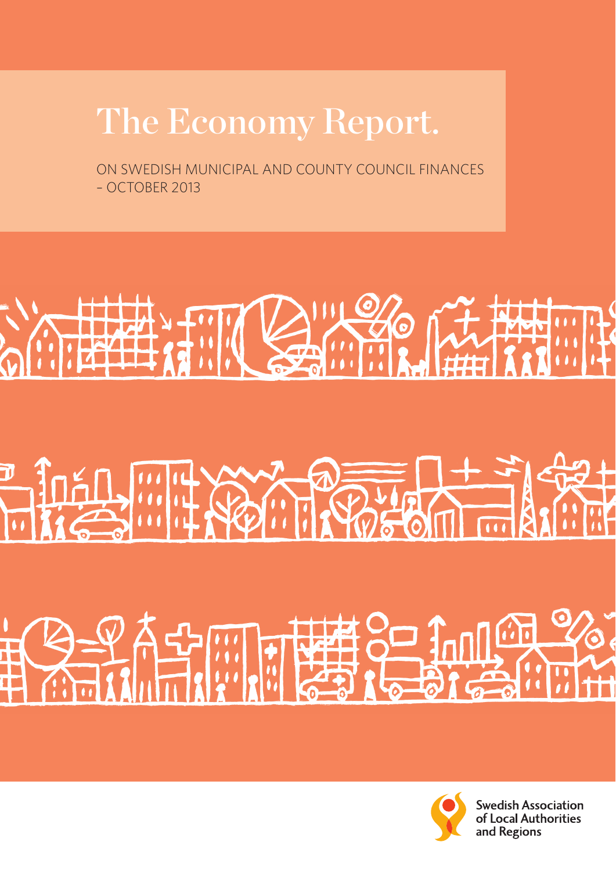# The Economy Report.

ON SWEDISH MUNICIPAL AND COUNTY COUNCIL FINANCES – OCTOBER 2013

# $\begin{array}{c} \mathbf{1} \mathbf{1} \\ \mathbf{1} \end{array}$ 安 TREACHER TH

# $2 - 8 + 5 - 11$ 验



Swedish Association<br>of Local Authorities<br>and Regions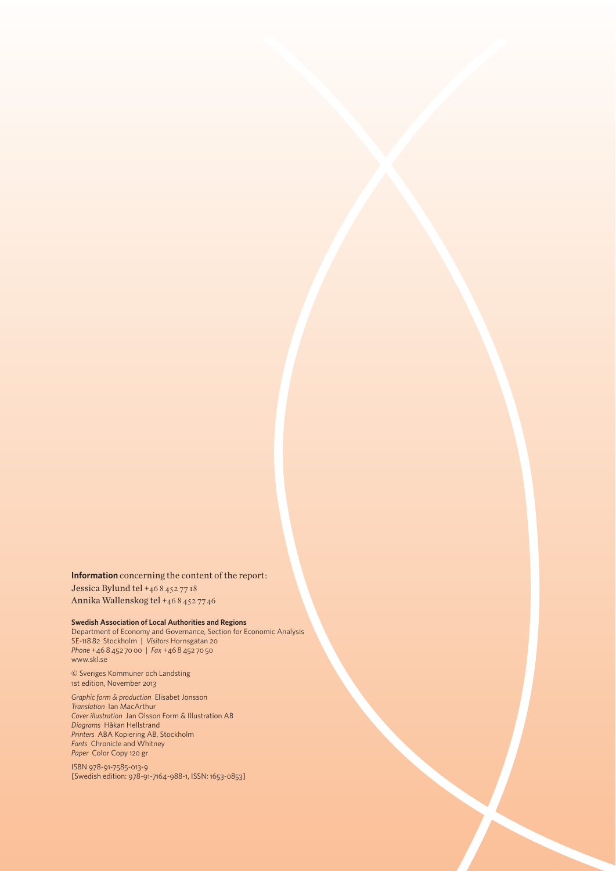**Information** concerning the content of the report: Jessica Bylund tel +46 8 452 7718 Annika Wallenskog tel +46 8 452 7746

#### **Swedish Association of Local Authorities and Regions**

Department of Economy and Governance, Section for Economic Analysis SE-118 82 Stockholm | *Visitors* Hornsgatan 20 *Phone* +46 8 452 70 00 | *Fax* +46 8 452 70 50 www.skl.se

© Sveriges Kommuner och Landsting 1st edition, November 2013

*Graphic form & production* Elisabet Jonsson *Translation* Ian MacArthur *Cover illustration* Jan Olsson Form & Illustration AB *Diagrams* Håkan Hellstrand *Printers* ABA Kopiering AB, Stockholm *Fonts* Chronicle and Whitney *Paper* Color Copy 120 gr

ISBN 978-91-7585-013-9 [Swedish edition: 978-91-7164-988-1, ISSN: 1653-0853]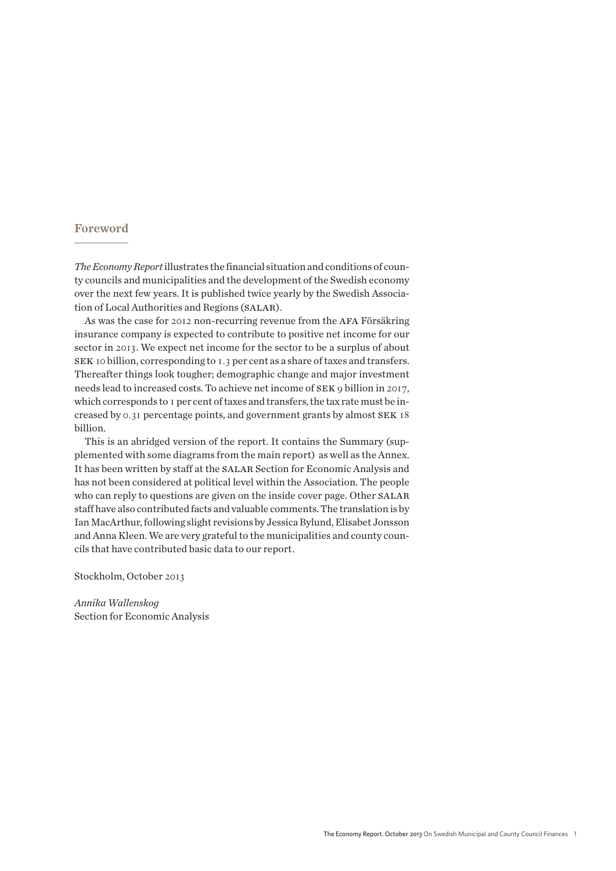#### Foreword

*The Economy Report*illustrates the financial situation and conditions of county councils and municipalities and the development of the Swedish economy over the next few years. It is published twice yearly by the Swedish Association of Local Authorities and Regions (salar).

As was the case for 2012 non-recurring revenue from the AFA Försäkring insurance company is expected to contribute to positive net income for our sector in 2013. We expect net income for the sector to be a surplus of about sek 10 billion, corresponding to 1.3 per cent as a share of taxes and transfers. Thereafter things look tougher; demographic change and major investment needs lead to increased costs. To achieve net income of sek 9 billion in 2017, which corresponds to 1 per cent of taxes and transfers, the tax rate must be increased by 0.31 percentage points, and government grants by almost sek 18 billion.

This is an abridged version of the report. It contains the Summary (supplemented with some diagrams from the main report) as well as the Annex. It has been written by staff at the SALAR Section for Economic Analysis and has not been considered at political level within the Association. The people who can reply to questions are given on the inside cover page. Other SALAR staff have also contributed facts and valuable comments. The trans lation is by Ian MacArthur, following slight revisions by Jessica Bylund, Elisabet Jons son and Anna Kleen. We are very grateful to the municipalities and county councils that have contributed basic data to our report.

Stockholm, October 2013

*Annika Wallenskog* Section for Economic Analysis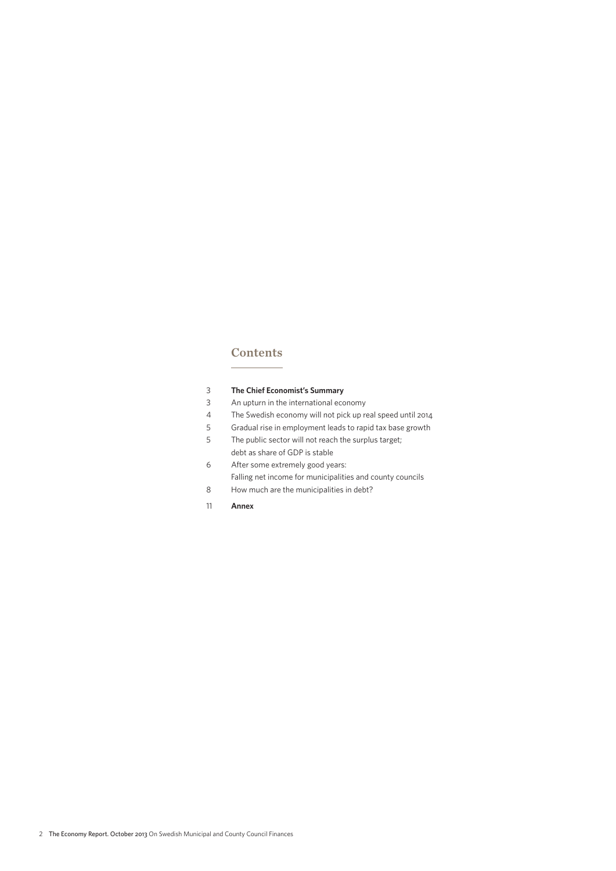### **Contents**

| 3 |  | The Chief Economist's Summary |  |
|---|--|-------------------------------|--|
|---|--|-------------------------------|--|

- 3 An upturn in the international economy
- 4 The Swedish economy will not pick up real speed until 2014
- 5 Gradual rise in employment leads to rapid tax base growth
- 5 The public sector will not reach the surplus target; debt as share of GDP is stable
- 6 After some extremely good years:
- Falling net income for municipalities and county councils
- 8 How much are the municipalities in debt?
- 11 **Annex**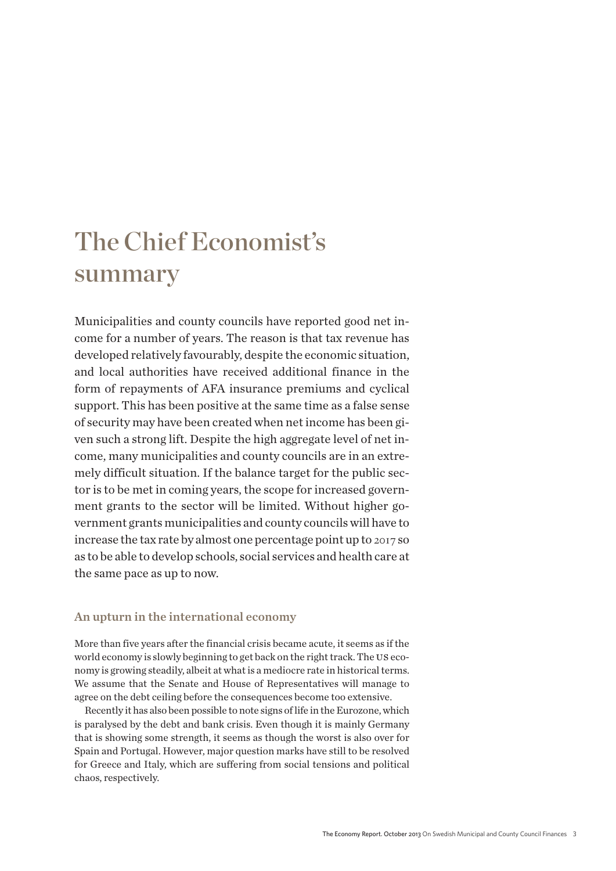# The Chief Economist's summary

Municipalities and county councils have reported good net income for a number of years. The reason is that tax revenue has developed relatively favourably, despite the economic situation, and local authorities have received additional finance in the form of repayments of AFA insurance premiums and cyclical support. This has been positive at the same time as a false sense of security may have been created when net income has been given such a strong lift. Despite the high aggregate level of net income, many municipalities and county councils are in an extremely difficult situation. If the balance target for the public sector is to be met in coming years, the scope for increased government grants to the sector will be limited. Without higher government grants municipalities and county councils will have to increase the tax rate by almost one percentage point up to 2017 so as to be able to develop schools, social services and health care at the same pace as up to now.

#### An upturn in the international economy

More than five years after the financial crisis became acute, it seems as if the world economy is slowly beginning to get back on the right track. The us economy is growing steadily, albeit at what is a mediocre rate in historical terms. We assume that the Senate and House of Representatives will manage to agree on the debt ceiling before the consequences become too extensive.

Recently it has also been possible to note signs of life in the Eurozone, which is paralysed by the debt and bank crisis. Even though it is mainly Germany that is showing some strength, it seems as though the worst is also over for Spain and Portugal. However, major question marks have still to be resolved for Greece and Italy, which are suffering from social tensions and political chaos, respectively.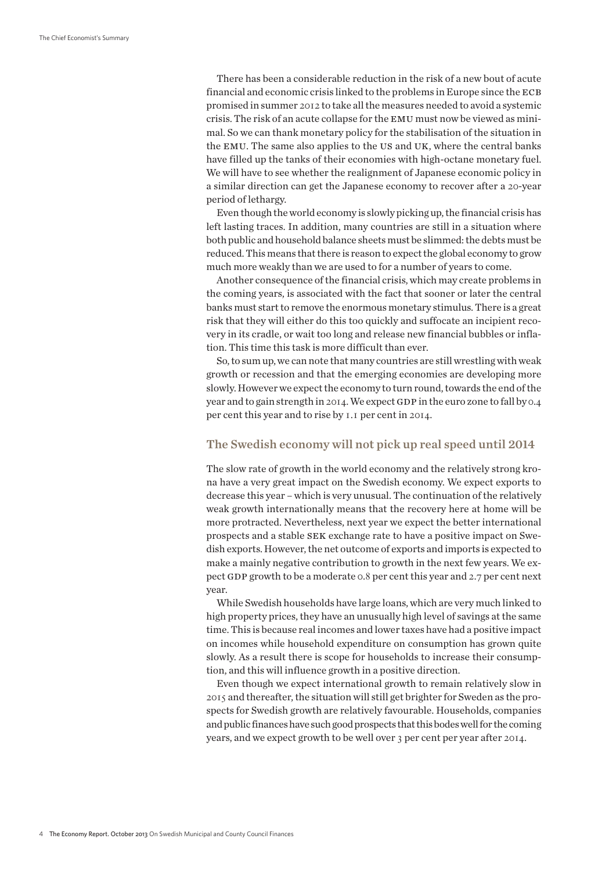There has been a considerable reduction in the risk of a new bout of acute financial and economic crisis linked to the problems in Europe since the ECB promised in summer 2012 to take all the measures needed to avoid a systemic crisis. The risk of an acute collapse for the emu must now be viewed as minimal. So we can thank monetary policy for the stabilisation of the situation in the EMU. The same also applies to the US and UK, where the central banks have filled up the tanks of their economies with high-octane monetary fuel. We will have to see whether the realignment of Japanese economic policy in a similar direction can get the Japanese economy to recover after a 20-year period of lethargy.

Even though the world economy is slowly picking up, the financial crisis has left lasting traces. In addition, many countries are still in a situation where both public and household balance sheets must be slimmed: the debts must be reduced. This means that there is reason to expect the global economy to grow much more weakly than we are used to for a number of years to come.

Another consequence of the financial crisis, which may create problems in the coming years, is associated with the fact that sooner or later the central banks must start to remove the enormous monetary stimulus. There is a great risk that they will either do this too quickly and suffocate an incipient recovery in its cradle, or wait too long and release new financial bubbles or inflation. This time this task is more difficult than ever.

So, to sum up, we can note that many countries are still wrestling with weak growth or recession and that the emerging economies are developing more slowly. However we expect the economy to turn round, towards the end of the year and to gain strength in 2014. We expect GDP in the euro zone to fall by 0.4 per cent this year and to rise by 1.1 per cent in 2014.

#### The Swedish economy will not pick up real speed until 2014

The slow rate of growth in the world economy and the relatively strong krona have a very great impact on the Swedish economy. We expect exports to decrease this year – which is very unusual. The continuation of the relatively weak growth internationally means that the recovery here at home will be more protracted. Nevertheless, next year we expect the better international prospects and a stable sek exchange rate to have a positive impact on Swedish exports. However, the net outcome of exports and imports is expected to make a mainly negative contribution to growth in the next few years. We expect gdp growth to be a moderate 0.8 per cent this year and 2.7 per cent next year.

While Swedish households have large loans, which are very much linked to high property prices, they have an unusually high level of savings at the same time. This is because real incomes and lower taxes have had a positive impact on incomes while household expenditure on consumption has grown quite slowly. As a result there is scope for households to increase their consumption, and this will influence growth in a positive direction.

Even though we expect international growth to remain relatively slow in 2015 and thereafter, the situation will still get brighter for Sweden as the prospects for Swedish growth are relatively favourable. Households, companies and public finances have such good prospects that this bodes well for the coming years, and we expect growth to be well over 3 per cent per year after 2014.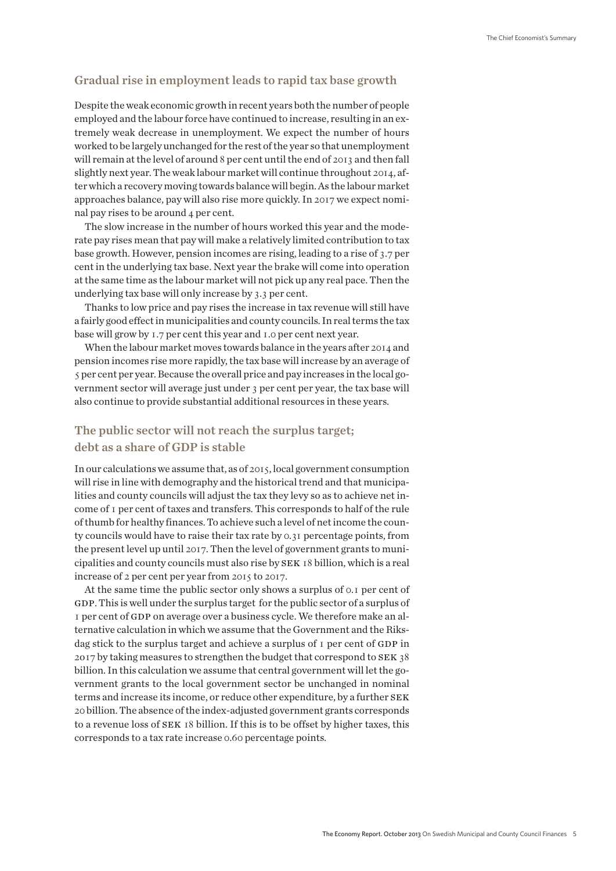#### Gradual rise in employment leads to rapid tax base growth

Despite the weak economic growth in recent years both the number of people employed and the labour force have continued to increase, resulting in an extremely weak decrease in unemployment. We expect the number of hours worked to be largely unchanged for the rest of the year so that unemployment will remain at the level of around 8 per cent until the end of 2013 and then fall slightly next year. The weak labour market will continue throughout 2014, after which a recovery moving towards balance will begin. As the labour market approaches balance, pay will also rise more quickly. In 2017 we expect nominal pay rises to be around 4 per cent.

The slow increase in the number of hours worked this year and the moderate pay rises mean that pay will make a relatively limited contribution to tax base growth. However, pension incomes are rising, leading to a rise of 3.7 per cent in the underlying tax base. Next year the brake will come into operation at the same time as the labour market will not pick up any real pace. Then the underlying tax base will only increase by 3.3 per cent.

Thanks to low price and pay rises the increase in tax revenue will still have a fairly good effect in municipalities and county councils. In real terms the tax base will grow by 1.7 per cent this year and 1.0 per cent next year.

When the labour market moves towards balance in the years after 2014 and pension incomes rise more rapidly, the tax base will increase by an average of 5 per cent per year. Because the overall price and pay increases in the local government sector will average just under 3 per cent per year, the tax base will also continue to provide substantial additional resources in these years.

## The public sector will not reach the surplus target; debt as a share of GDP is stable

In our calculations we assume that, as of 2015, local government consumption will rise in line with demography and the historical trend and that municipalities and county councils will adjust the tax they levy so as to achieve net income of 1 per cent of taxes and transfers. This corresponds to half of the rule of thumb for healthy finances. To achieve such a level of net income the county councils would have to raise their tax rate by 0.31 percentage points, from the present level up until 2017. Then the level of government grants to municipalities and county councils must also rise by sek 18 billion, which is a real increase of 2 per cent per year from 2015 to 2017.

At the same time the public sector only shows a surplus of 0.1 per cent of GDP. This is well under the surplus target for the public sector of a surplus of I per cent of GDP on average over a business cycle. We therefore make an alternative calculation in which we assume that the Government and the Riksdag stick to the surplus target and achieve a surplus of  $I$  per cent of GDP in 2o17 by taking measures to strengthen the budget that correspond to sek 38 billion. In this calculation we assume that central government will let the government grants to the local government sector be unchanged in nominal terms and increase its income, or reduce other expenditure, by a further SEK 20 billion. The absence of the index-adjusted government grants corresponds to a revenue loss of sek 18 billion. If this is to be offset by higher taxes, this corresponds to a tax rate increase 0.60 percentage points.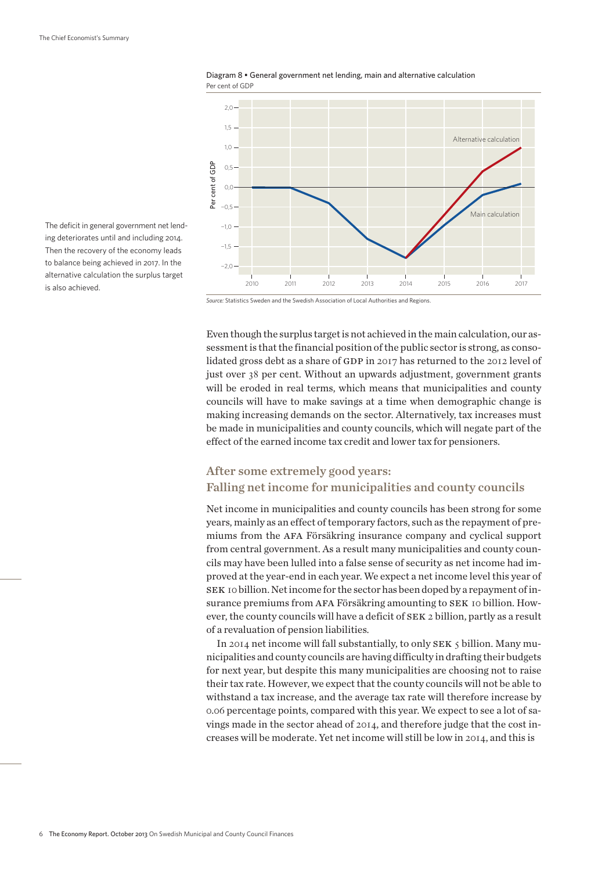

Diagram 8 • General government net lending, main and alternative calculation Per cent of GDP

*Source:* Statistics Sweden and the Swedish Association of Local Authorities and Regions.

Even though the surplus target is not achieved in the main calculation, our assessment is that the financial position of the public sector is strong, as consolidated gross debt as a share of GDP in 2017 has returned to the 2012 level of just over 38 per cent. Without an upwards adjustment, government grants will be eroded in real terms, which means that municipalities and county councils will have to make savings at a time when demographic change is making increasing demands on the sector. Alternatively, tax increases must be made in municipalities and county councils, which will negate part of the effect of the earned income tax credit and lower tax for pensioners.

## After some extremely good years:

### Falling net income for municipalities and county councils

Net income in municipalities and county councils has been strong for some years, mainly as an effect of temporary factors, such as the repayment of premiums from the afa Försäkring insurance company and cyclical support from central government. As a result many municipalities and county councils may have been lulled into a false sense of security as net income had improved at the year-end in each year. We expect a net income level this year of SEK 10 billion. Net income for the sector has been doped by a repayment of insurance premiums from AFA Försäkring amounting to SEK 10 billion. However, the county councils will have a deficit of SEK 2 billion, partly as a result of a revaluation of pension liabilities.

In 2014 net income will fall substantially, to only SEK  $\frac{1}{2}$  billion. Many municipalities and county councils are having difficulty in drafting their budgets for next year, but despite this many municipalities are choosing not to raise their tax rate. However, we expect that the county councils will not be able to withstand a tax increase, and the average tax rate will therefore increase by 0.06 percentage points, compared with this year. We expect to see a lot of savings made in the sector ahead of 2014, and therefore judge that the cost in creases will be moderate. Yet net income will still be low in 2014, and this is

The deficit in general government net lending deteriorates until and including 2014. Then the recovery of the economy leads to balance being achieved in 2017. In the alternative calculation the surplus target is also achieved.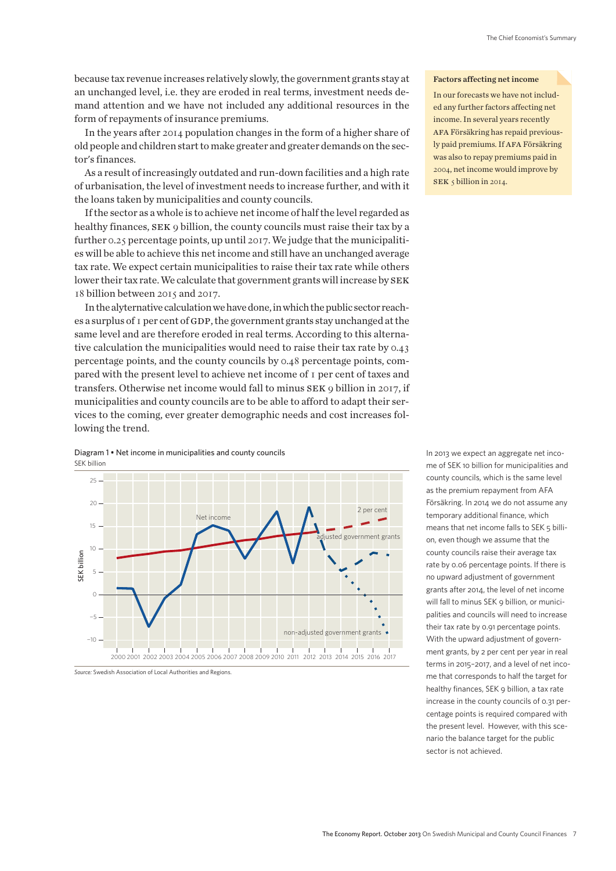because tax revenue increases relatively slowly, the government grants stay at an unchanged level, i.e. they are eroded in real terms, investment needs demand attention and we have not included any additional resources in the form of repayments of insurance premiums.

In the years after 2014 population changes in the form of a higher share of old people and children start to make greater and greater demands on the sector's finances.

As a result of increasingly outdated and run-down facilities and a high rate of urbanisation, the level of investment needs to increase further, and with it the loans taken by municipalities and county councils.

If the sector as a whole is to achieve net income of half the level regarded as healthy finances, SEK 9 billion, the county councils must raise their tax by a further 0.25 percentage points, up until 2017. We judge that the municipalities will be able to achieve this net income and still have an unchanged average tax rate. We expect certain municipalities to raise their tax rate while others lower their tax rate. We calculate that government grants will increase by SEK 18 billion between 2015 and 2017.

In the alyternative calculation we have done, in which the public sector reach es a surplus of 1 per cent of GDP, the government grants stay unchanged at the same level and are therefore eroded in real terms. According to this alternative calculation the municipalities would need to raise their tax rate by 0.43 percentage points, and the county councils by 0.48 percentage points, compared with the present level to achieve net income of 1 per cent of taxes and transfers. Otherwise net income would fall to minus sek 9 billion in 2017, if municipalities and county councils are to be able to afford to adapt their services to the coming, ever greater demographic needs and cost increases following the trend.

#### Diagram 1 • Net income in municipalities and county councils SEK billion



*Source:* Swedish Association of Local Authorities and Regions.

#### Factors affecting net income

In our forecasts we have not included any further factors affecting net income. In several years recently afa Försäkring has repaid previously paid premiums. If afa Försäkring was also to repay premiums paid in 2004, net income would improve by SEK 5 billion in 2014.

In 2013 we expect an aggregate net income of SEK 10 billion for municipalities and county councils, which is the same level as the premium repayment from AFA Försäkring. In 2014 we do not assume any temporary additional finance, which means that net income falls to SEK 5 billion, even though we assume that the county councils raise their average tax rate by 0.06 percentage points. If there is no upward adjustment of government grants after 2014, the level of net income will fall to minus SEK 9 billion, or municipalities and councils will need to increase their tax rate by 0.91 percentage points. With the upward adjustment of government grants, by 2 per cent per year in real terms in 2015–2017, and a level of net income that corresponds to half the target for healthy finances, SEK 9 billion, a tax rate increase in the county councils of 0.31 percentage points is required compared with the present level. However, with this scenario the balance target for the public sector is not achieved.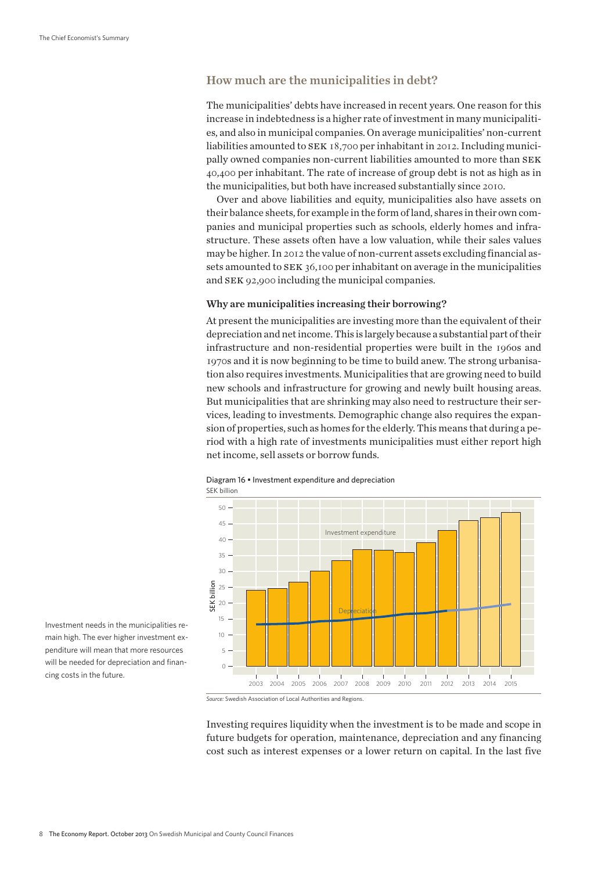#### How much are the municipalities in debt?

The municipalities' debts have increased in recent years. One reason for this increase in indebtedness is a higher rate of investment in many municipalities, and also in municipal companies. On average municipalities' non-current liabilities amounted to SEK 18,700 per inhabitant in 2012. Including municipally owned companies non-current liabilities amounted to more than sek 40,400 per inhabitant. The rate of increase of group debt is not as high as in the municipalities, but both have increased substantially since 2010.

Over and above liabilities and equity, municipalities also have assets on their balance sheets, for example in the form of land, shares in their own companies and municipal properties such as schools, elderly homes and infrastructure. These assets often have a low valuation, while their sales values may be higher. In 2012 the value of non-current assets excluding financial assets amounted to SEK 36,100 per inhabitant on average in the municipalities and SEK 92,900 including the municipal companies.

#### Why are municipalities increasing their borrowing?

At present the municipalities are investing more than the equivalent of their depreciation and net income. This is largely because a substantial part of their infrastructure and non-residential properties were built in the 196os and 1970s and it is now beginning to be time to build anew. The strong urbanisation also requires investments. Municipalities that are growing need to build new schools and infrastructure for growing and newly built housing areas. But municipalities that are shrinking may also need to restructure their services, leading to investments. Demographic change also requires the expansion of properties, such as homes for the elderly. This means that during a period with a high rate of investments municipalities must either report high net income, sell assets or borrow funds.





Investment needs in the municipalities remain high. The ever higher investment expenditure will mean that more resources will be needed for depreciation and financing costs in the future.

*Source:* Swedish Association of Local Authorities and Regions.

Investing requires liquidity when the investment is to be made and scope in future budgets for operation, maintenance, depreciation and any financing cost such as interest expenses or a lower return on capital. In the last five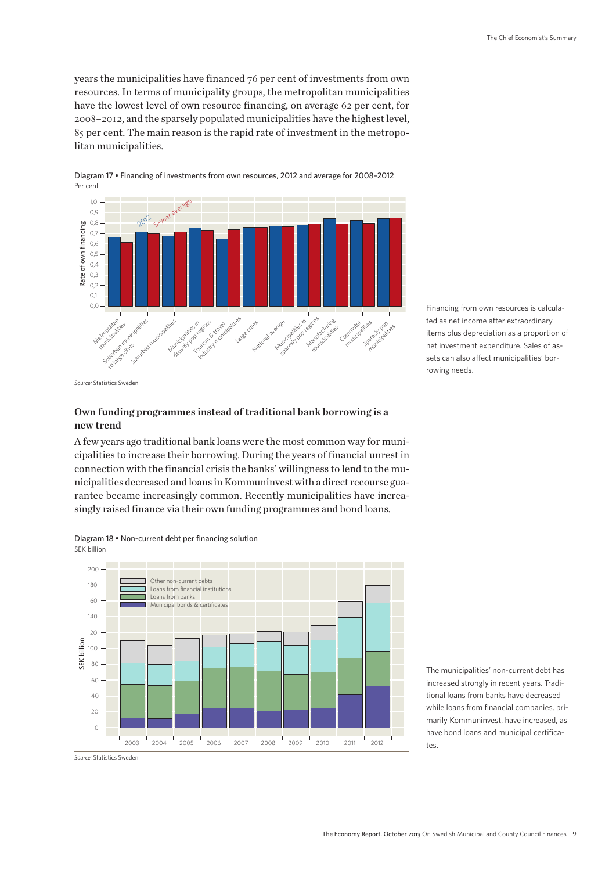years the municipalities have financed 76 per cent of investments from own resources. In terms of municipality groups, the metropolitan municipalities have the lowest level of own resource financing, on average 62 per cent, for 2008–2012, and the sparsely populated municipalities have the highest level, 85 per cent. The main reason is the rapid rate of investment in the metropolitan municipalities.

Diagram 17 • Financing of investments from own resources, 2012 and average for 2008–2012



Financing from own resources is calculated as net income after extraordinary items plus depreciation as a proportion of net investment expenditure. Sales of assets can also affect municipalities' borrowing needs.

*Source:* Statistics Sweden.

Per cent

#### Own funding programmes instead of traditional bank borrowing is a new trend

A few years ago traditional bank loans were the most common way for municipalities to increase their borrowing. During the years of financial unrest in connection with the financial crisis the banks' willingness to lend to the municipalities decreased and loans in Kommuninvest with a direct recourse gua rantee became increasingly common. Recently municipalities have increasingly raised finance via their own funding programmes and bond loans.

Diagram 18 • Non-current debt per financing solution SEK billion



*Source:* Statistics Sweden.

The municipalities' non-current debt has increased strongly in recent years. Traditional loans from banks have decreased while loans from financial companies, primarily Kommuninvest, have increased, as have bond loans and municipal certifica $t \sim$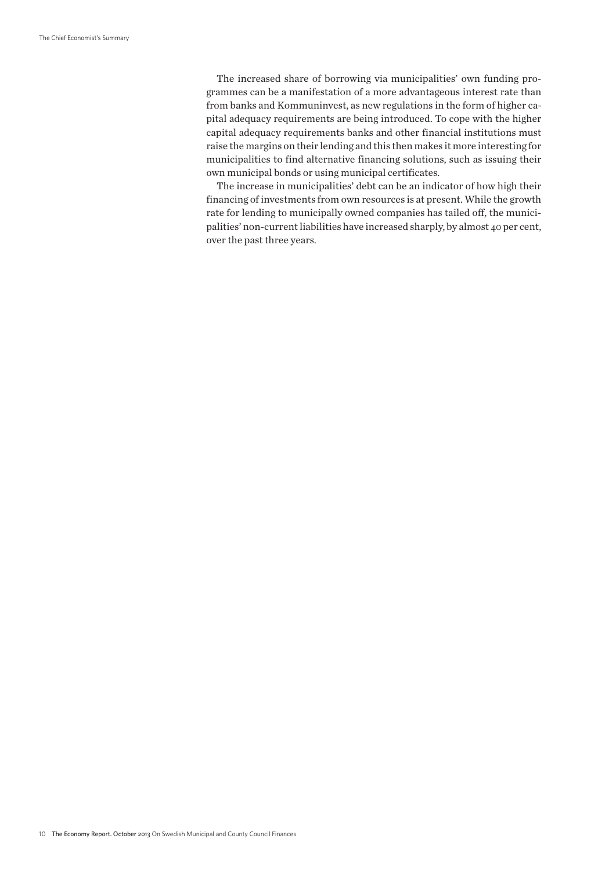The increased share of borrowing via municipalities' own funding programmes can be a manifestation of a more advantageous interest rate than from banks and Kommuninvest, as new regulations in the form of higher capital adequacy requirements are being introduced. To cope with the higher capital adequacy requirements banks and other financial institutions must raise the margins on their lending and this then makes it more interesting for municipalities to find alternative financing solutions, such as issuing their own municipal bonds or using municipal certificates.

The increase in municipalities' debt can be an indicator of how high their financing of investments from own resources is at present. While the growth rate for lending to municipally owned companies has tailed off, the municipalities' non-current liabilities have increased sharply, by almost 40 per cent, over the past three years.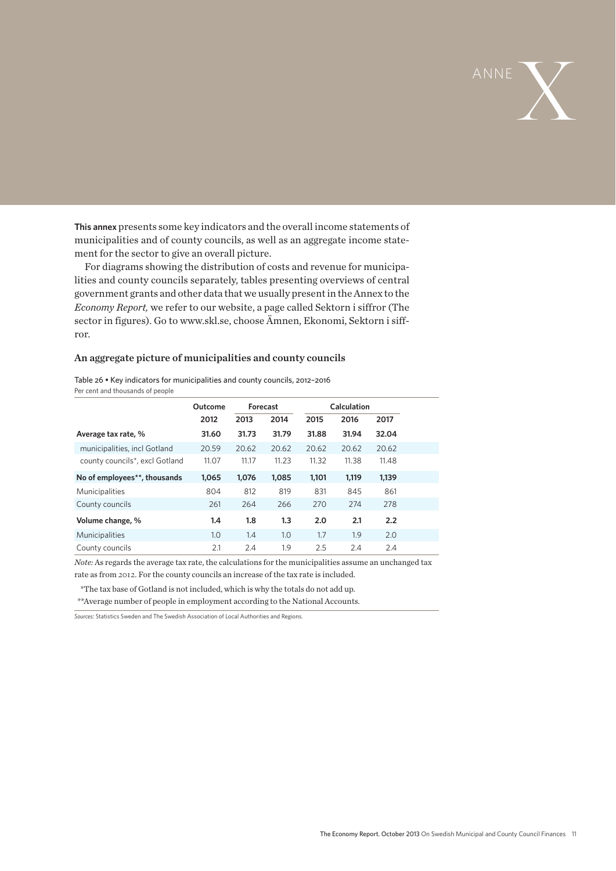

**This annex** presents some key indicators and the overall income statements of municipalities and of county councils, as well as an aggregate income statement for the sector to give an overall picture.

For diagrams showing the distribution of costs and revenue for municipalities and county councils separately, tables presenting overviews of central government grants and other data that we usually present in the Annex to the *Economy Report,* we refer to our website, a page called Sektorn i siffror (The sector in figures). Go to www.skl.se, choose Ämnen, Ekonomi, Sektorn i siffror.

#### An aggregate picture of municipalities and county councils

Table 26 • Key indicators for municipalities and county councils, 2012–2016 Per cent and thousands of people

|                                | Outcome | Forecast |       | Calculation |       |       |
|--------------------------------|---------|----------|-------|-------------|-------|-------|
|                                | 2012    | 2013     | 2014  | 2015        | 2016  | 2017  |
| Average tax rate, %            | 31.60   | 31.73    | 31.79 | 31.88       | 31.94 | 32.04 |
| municipalities, incl Gotland   | 20.59   | 20.62    | 20.62 | 20.62       | 20.62 | 20.62 |
| county councils*, excl Gotland | 11.07   | 11.17    | 11.23 | 11.32       | 11.38 | 11.48 |
| No of employees**, thousands   | 1.065   | 1.076    | 1.085 | 1.101       | 1.119 | 1,139 |
| Municipalities                 | 804     | 812      | 819   | 831         | 845   | 861   |
| County councils                | 261     | 264      | 266   | 270         | 274   | 278   |
| Volume change, %               | 1.4     | 1.8      | 1.3   | 2.0         | 2.1   | 2.2   |
| Municipalities                 | 1.0     | 1.4      | 1.0   | 1.7         | 1.9   | 2.0   |
| County councils                | 2.1     | 2.4      | 1.9   | 2.5         | 2.4   | 2.4   |

*Note:* As regards the average tax rate, the calculations for the municipalities assume an unchanged tax rate as from 2012. For the county councils an increase of the tax rate is included.

\*The tax base of Gotland is not included, which is why the totals do not add up.

\*\*Average number of people in employment according to the National Accounts.

*Sources:* Statistics Sweden and The Swedish Association of Local Authorities and Regions.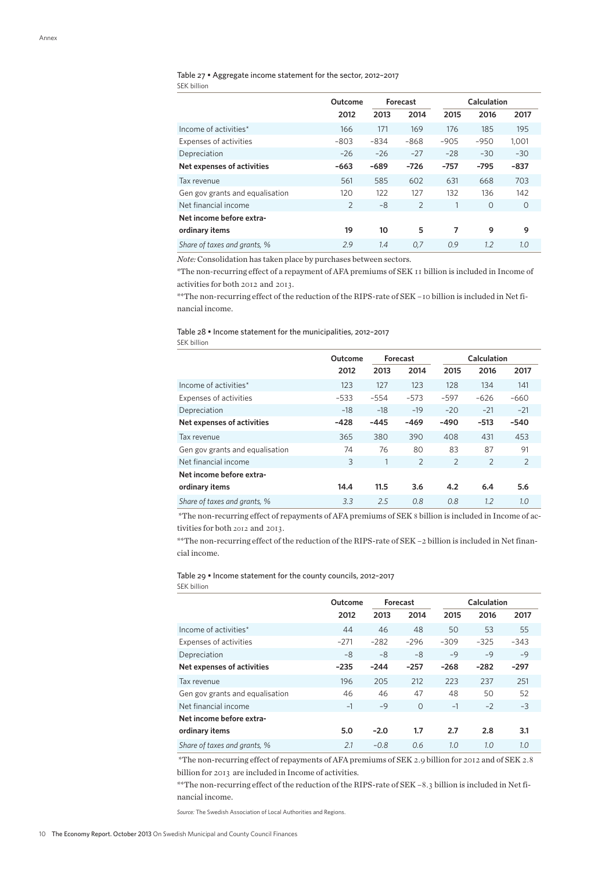| <b>SEK billion</b> |  |
|--------------------|--|
|                    |  |

|                                 | Outcome        | Forecast |        | Calculation |         |         |
|---------------------------------|----------------|----------|--------|-------------|---------|---------|
|                                 | 2012           | 2013     | 2014   | 2015        | 2016    | 2017    |
| Income of activities*           | 166            | 171      | 169    | 176         | 185     | 195     |
| Expenses of activities          | $-803$         | $-834$   | $-868$ | $-905$      | $-950$  | 1.001   |
| Depreciation                    | $-26$          | $-26$    | $-27$  | $-28$       | $-30$   | $-30$   |
| Net expenses of activities      | $-663$         | $-689$   | $-726$ | $-757$      | $-795$  | $-837$  |
| Tax revenue                     | 561            | 585      | 602    | 631         | 668     | 703     |
| Gen gov grants and equalisation | 120            | 122      | 127    | 132         | 136     | 142     |
| Net financial income            | $\overline{2}$ | $-8$     | 2      |             | $\circ$ | $\circ$ |
| Net income before extra-        |                |          |        |             |         |         |
| ordinary items                  | 19             | 10       | 5      | 7           | 9       | 9       |
| Share of taxes and grants, %    | 2.9            | 1.4      | 0.7    | 0.9         | 1.2     | 1.0     |

*Note:* Consolidation has taken place by purchases between sectors.

\*The non-recurring effect of a repayment of AFA premiums of SEK 11 billion is included in Income of activities for both 2012 and 2013.

\*\*The non-recurring effect of the reduction of the RIPS-rate of SEK –10 billion is included in Net financial income.

#### Table 28 • Income statement for the municipalities, 2012–2017

| <b>SFK billion</b> |  |
|--------------------|--|
|--------------------|--|

|                                 | Outcome |        | Forecast |                | Calculation    |        |  |
|---------------------------------|---------|--------|----------|----------------|----------------|--------|--|
|                                 | 2012    | 2013   | 2014     | 2015           | 2016           | 2017   |  |
| Income of activities*           | 123     | 127    | 123      | 128            | 134            | 141    |  |
| Expenses of activities          | $-533$  | $-554$ | $-573$   | $-597$         | $-626$         | $-660$ |  |
| Depreciation                    | $-18$   | $-18$  | $-19$    | $-20$          | $-21$          | $-21$  |  |
| Net expenses of activities      | $-428$  | $-445$ | $-469$   | $-490$         | $-513$         | $-540$ |  |
| Tax revenue                     | 365     | 380    | 390      | 408            | 431            | 453    |  |
| Gen gov grants and equalisation | 74      | 76     | 80       | 83             | 87             | 91     |  |
| Net financial income            | 3       |        | 2        | $\overline{2}$ | $\overline{2}$ | 2      |  |
| Net income before extra-        |         |        |          |                |                |        |  |
| ordinary items                  | 14.4    | 11.5   | 3.6      | 4.2            | 6.4            | 5.6    |  |
| Share of taxes and grants, %    | 3.3     | 2.5    | 0.8      | 0.8            | 1.2            | 1.0    |  |

\*The non-recurring effect of repayments of AFA premiums of SEK 8 billion is included in Income of activities for both 2012 and 2013.

\*\*The non-recurring effect of the reduction of the RIPS-rate of SEK –2 billion is included in Net financial income.

#### Table 29 • Income statement for the county councils, 2012–2017 SEK billion

|                                 | Outcome | Forecast |          | Calculation |        |        |
|---------------------------------|---------|----------|----------|-------------|--------|--------|
|                                 | 2012    | 2013     | 2014     | 2015        | 2016   | 2017   |
| Income of activities*           | 44      | 46       | 48       | 50          | 53     | 55     |
| Expenses of activities          | $-271$  | $-282$   | $-296$   | $-309$      | $-325$ | $-343$ |
| Depreciation                    | -8      | -8       | $-8$     | $-9$        | $-9$   | $-9$   |
| Net expenses of activities      | $-235$  | $-244$   | $-257$   | $-268$      | $-282$ | $-297$ |
| Tax revenue                     | 196     | 205      | 212      | 223         | 237    | 251    |
| Gen gov grants and equalisation | 46      | 46       | 47       | 48          | 50     | 52     |
| Net financial income            | $-1$    | $-9$     | $\Omega$ | $-1$        | $-2$   | $-3$   |
| Net income before extra-        |         |          |          |             |        |        |
| ordinary items                  | 5.0     | $-2.0$   | 1.7      | 2.7         | 2.8    | 3.1    |
| Share of taxes and grants, %    | 2.1     | $-0.8$   | 0.6      | 1.0         | 1.0    | 1.0    |

\*The non-recurring effect of repayments of AFA premiums of SEK 2.9 billion for 2012 and of SEK 2.8 billion for 2013 are included in Income of activities.

\*\*The non-recurring effect of the reduction of the RIPS-rate of SEK –8.3 billion is included in Net financial income.

*Source:* The Swedish Association of Local Authorities and Regions.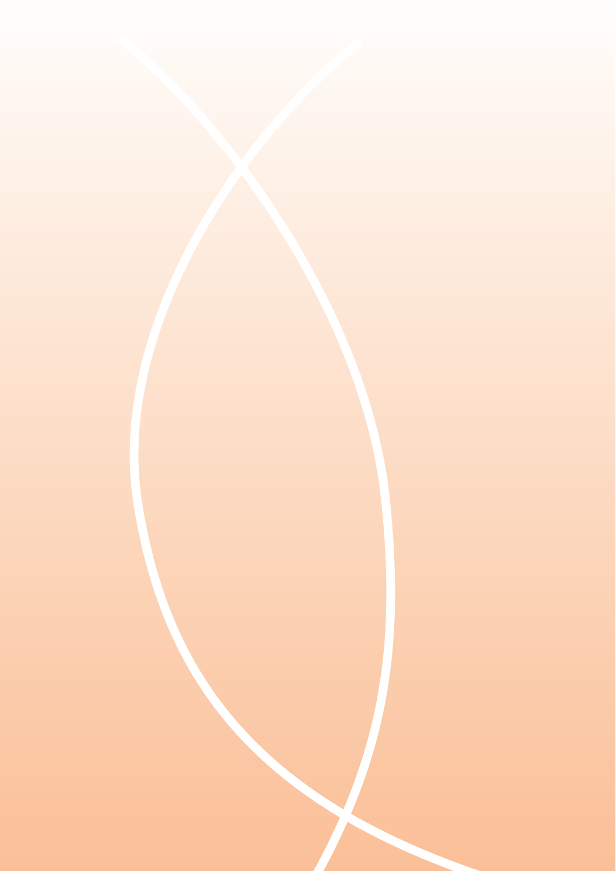